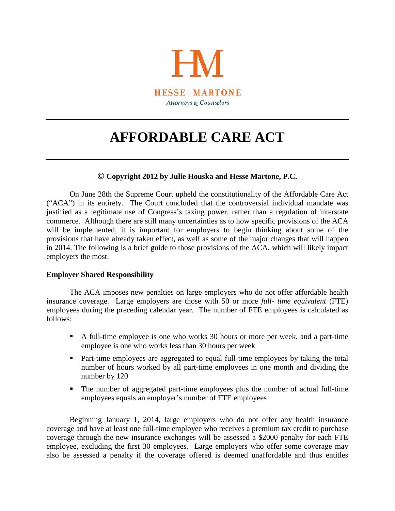

# **AFFORDABLE CARE ACT**

## **© Copyright 2012 by Julie Houska and Hesse Martone, P.C.**

On June 28th the Supreme Court upheld the constitutionality of the Affordable Care Act ("ACA") in its entirety. The Court concluded that the controversial individual mandate was justified as a legitimate use of Congress's taxing power, rather than a regulation of interstate commerce. Although there are still many uncertainties as to how specific provisions of the ACA will be implemented, it is important for employers to begin thinking about some of the provisions that have already taken effect, as well as some of the major changes that will happen in 2014. The following is a brief guide to those provisions of the ACA, which will likely impact employers the most.

## **Employer Shared Responsibility**

The ACA imposes new penalties on large employers who do not offer affordable health insurance coverage. Large employers are those with 50 or more *full- time equivalent* (FTE) employees during the preceding calendar year. The number of FTE employees is calculated as follows:

- A full-time employee is one who works 30 hours or more per week, and a part-time employee is one who works less than 30 hours per week
- Part-time employees are aggregated to equal full-time employees by taking the total number of hours worked by all part-time employees in one month and dividing the number by 120
- The number of aggregated part-time employees plus the number of actual full-time employees equals an employer's number of FTE employees

Beginning January 1, 2014, large employers who do not offer any health insurance coverage and have at least one full-time employee who receives a premium tax credit to purchase coverage through the new insurance exchanges will be assessed a \$2000 penalty for each FTE employee, excluding the first 30 employees. Large employers who offer some coverage may also be assessed a penalty if the coverage offered is deemed unaffordable and thus entitles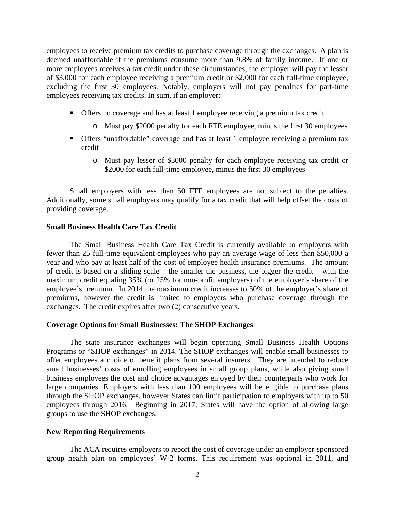employees to receive premium tax credits to purchase coverage through the exchanges. A plan is deemed unaffordable if the premiums consume more than 9.8% of family income. If one or more employees receives a tax credit under these circumstances, the employer will pay the lesser of \$3,000 for each employee receiving a premium credit or \$2,000 for each full-time employee, excluding the first 30 employees. Notably, employers will not pay penalties for part-time employees receiving tax credits. In sum, if an employer:

- Offers no coverage and has at least 1 employee receiving a premium tax credit
	- o Must pay \$2000 penalty for each FTE employee, minus the first 30 employees
- Offers "unaffordable" coverage and has at least 1 employee receiving a premium tax credit
	- o Must pay lesser of \$3000 penalty for each employee receiving tax credit or \$2000 for each full-time employee, minus the first 30 employees

Small employers with less than 50 FTE employees are not subject to the penalties. Additionally, some small employers may qualify for a tax credit that will help offset the costs of providing coverage.

#### **Small Business Health Care Tax Credit**

The Small Business Health Care Tax Credit is currently available to employers with fewer than 25 full-time equivalent employees who pay an average wage of less than \$50,000 a year and who pay at least half of the cost of employee health insurance premiums. The amount of credit is based on a sliding scale – the smaller the business, the bigger the credit – with the maximum credit equaling 35% (or 25% for non-profit employers) of the employer's share of the employee's premium. In 2014 the maximum credit increases to 50% of the employer's share of premiums, however the credit is limited to employers who purchase coverage through the exchanges. The credit expires after two (2) consecutive years.

### **Coverage Options for Small Businesses: The SHOP Exchanges**

The state insurance exchanges will begin operating Small Business Health Options Programs or "SHOP exchanges" in 2014. The SHOP exchanges will enable small businesses to offer employees a choice of benefit plans from several insurers. They are intended to reduce small businesses' costs of enrolling employees in small group plans, while also giving small business employees the cost and choice advantages enjoyed by their counterparts who work for large companies. Employers with less than 100 employees will be eligible to purchase plans through the SHOP exchanges, however States can limit participation to employers with up to 50 employees through 2016. Beginning in 2017, States will have the option of allowing large groups to use the SHOP exchanges.

#### **New Reporting Requirements**

The ACA requires employers to report the cost of coverage under an employer-sponsored group health plan on employees' W-2 forms. This requirement was optional in 2011, and